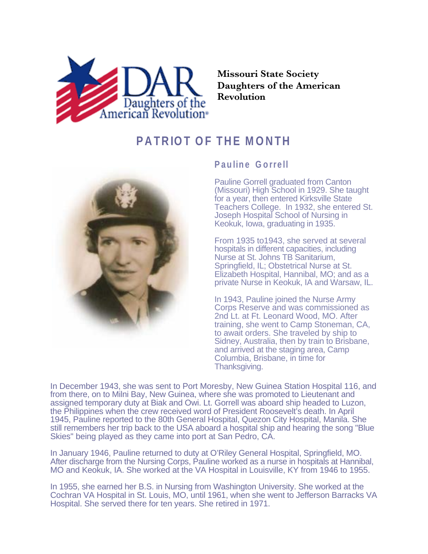

**Missouri State Society Daughters of the American Revolution**

## **PATRIOT OF THE MONTH**



## **Pauline Gorrell**

Pauline Gorrell graduated from Canton (Missouri) High School in 1929. She taught for a year, then entered Kirksville State Teachers College. In 1932, she entered St. Joseph Hospital School of Nursing in Keokuk, Iowa, graduating in 1935.

From 1935 to1943, she served at several hospitals in different capacities, including Nurse at St. Johns TB Sanitarium, Springfield, IL; Obstetrical Nurse at St. Elizabeth Hospital, Hannibal, MO; and as a private Nurse in Keokuk, IA and Warsaw, IL.

In 1943, Pauline joined the Nurse Army Corps Reserve and was commissioned as 2nd Lt. at Ft. Leonard Wood, MO. After training, she went to Camp Stoneman, CA, to await orders. She traveled by ship to Sidney, Australia, then by train to Brisbane, and arrived at the staging area, Camp Columbia, Brisbane, in time for Thanksgiving.

In December 1943, she was sent to Port Moresby, New Guinea Station Hospital 116, and from there, on to Milni Bay, New Guinea, where she was promoted to Lieutenant and assigned temporary duty at Biak and Owi. Lt. Gorrell was aboard ship headed to Luzon, the Philippines when the crew received word of President Roosevelt's death. In April 1945, Pauline reported to the 80th General Hospital, Quezon City Hospital, Manila. She still remembers her trip back to the USA aboard a hospital ship and hearing the song "Blue Skies" being played as they came into port at San Pedro, CA.

In January 1946, Pauline returned to duty at O'Riley General Hospital, Springfield, MO. After discharge from the Nursing Corps, Pauline worked as a nurse in hospitals at Hannibal, MO and Keokuk, IA. She worked at the VA Hospital in Louisville, KY from 1946 to 1955.

In 1955, she earned her B.S. in Nursing from Washington University. She worked at the Cochran VA Hospital in St. Louis, MO, until 1961, when she went to Jefferson Barracks VA Hospital. She served there for ten years. She retired in 1971.